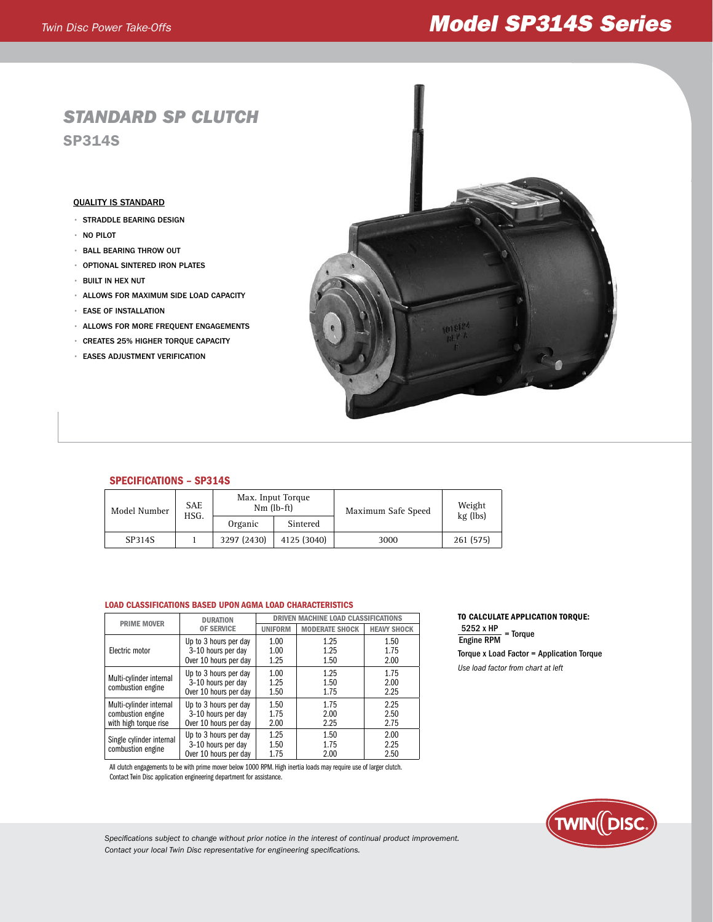# *Twin Disc Power Take-Offs Model SP314S Series*

# *Standard SP Clutch* SP314S

### Quality is Standard

- straddle Bearing design
- no Pilot
- ball bearing throw out
- Optional sintered iron plates
- built in hex nut
- allows for maximum side load capacity
- ease of installation
- allows for more frequent engagements
- Creates 25% higher torque capacity
- Eases adjustment verification



## SPECIFICATIONS – SP314S

| Model Number | <b>SAE</b><br>HSG. | Max. Input Torque<br>$Nm$ (lb-ft) |             | Maximum Safe Speed | Weight<br>kg (lbs) |
|--------------|--------------------|-----------------------------------|-------------|--------------------|--------------------|
|              |                    | Organic                           | Sintered    |                    |                    |
| SP314S       |                    | 3297 (2430)                       | 4125 (3040) | 3000               | 261 (575)          |

#### Load classifications based upon agma load characteristics

| <b>PRIME MOVER</b>                                                    | <b>DURATION</b>                                                      | <b>DRIVEN MACHINE LOAD CLASSIFICATIONS</b> |                       |                      |
|-----------------------------------------------------------------------|----------------------------------------------------------------------|--------------------------------------------|-----------------------|----------------------|
|                                                                       | <b>OF SERVICE</b>                                                    | <b>UNIFORM</b>                             | <b>MODERATE SHOCK</b> | <b>HEAVY SHOCK</b>   |
| Electric motor                                                        | Up to 3 hours per day<br>3-10 hours per day<br>Over 10 hours per day | 1.00<br>1.00<br>1.25                       | 1.25<br>1.25<br>1.50  | 1.50<br>1.75<br>2.00 |
| Multi-cylinder internal<br>combustion engine                          | Up to 3 hours per day<br>3-10 hours per day<br>Over 10 hours per day | 1.00<br>1.25<br>1.50                       | 1.25<br>1.50<br>1.75  | 1.75<br>2.00<br>2.25 |
| Multi-cylinder internal<br>combustion engine<br>with high torque rise | Up to 3 hours per day<br>3-10 hours per day<br>Over 10 hours per day | 1.50<br>1.75<br>2.00                       | 1.75<br>2.00<br>2.25  | 2.25<br>2.50<br>2.75 |
| Single cylinder internal<br>combustion engine                         | Up to 3 hours per day<br>3-10 hours per day<br>Over 10 hours per day | 1.25<br>1.50<br>1.75                       | 1.50<br>1.75<br>2.00  | 2.00<br>2.25<br>2.50 |

All clutch engagements to be with prime mover below 1000 RPM. High inertia loads may require use of larger clutch. Contact Twin Disc application engineering department for assistance.

# To calculate application torque:

Torque x Load Factor = Application Torque  $\frac{5252 \times HP}{\text{Froine PDM}}$  = Torque Engine RPM

*Use load factor from chart at left*



*Specifications subject to change without prior notice in the interest of continual product improvement. Contact your local Twin Disc representative for engineering specifications.*